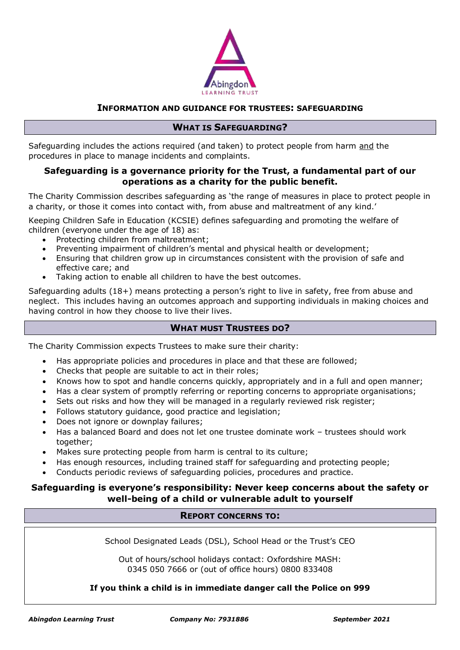

## **INFORMATION AND GUIDANCE FOR TRUSTEES: SAFEGUARDING**

### **WHAT IS SAFEGUARDING?**

Safeguarding includes the actions required (and taken) to protect people from harm and the procedures in place to manage incidents and complaints.

# **Safeguarding is a governance priority for the Trust, a fundamental part of our operations as a charity for the public benefit.**

The Charity Commission describes safeguarding as 'the range of measures in place to protect people in a charity, or those it comes into contact with, from abuse and maltreatment of any kind.'

Keeping Children Safe in Education (KCSIE) defines safeguarding and promoting the welfare of children (everyone under the age of 18) as:

- Protecting children from maltreatment;
- Preventing impairment of children's mental and physical health or development;
- Ensuring that children grow up in circumstances consistent with the provision of safe and effective care; and
- Taking action to enable all children to have the best outcomes.

Safeguarding adults (18+) means protecting a person's right to live in safety, free from abuse and neglect. This includes having an outcomes approach and supporting individuals in making choices and having control in how they choose to live their lives.

## **WHAT MUST TRUSTEES DO?**

The Charity Commission expects Trustees to make sure their charity:

- Has appropriate policies and procedures in place and that these are followed;
- Checks that people are suitable to act in their roles;
- Knows how to spot and handle concerns quickly, appropriately and in a full and open manner;
- Has a clear system of promptly referring or reporting concerns to appropriate organisations;
- Sets out risks and how they will be managed in a regularly reviewed risk register;
- Follows statutory guidance, good practice and legislation;
- Does not ignore or downplay failures;
- Has a balanced Board and does not let one trustee dominate work trustees should work together;
- Makes sure protecting people from harm is central to its culture;
- Has enough resources, including trained staff for safeguarding and protecting people;
- Conducts periodic reviews of safeguarding policies, procedures and practice.

# **Safeguarding is everyone's responsibility: Never keep concerns about the safety or well-being of a child or vulnerable adult to yourself**

# **REPORT CONCERNS TO:**

School Designated Leads (DSL), School Head or the Trust's CEO

Out of hours/school holidays contact: Oxfordshire MASH: 0345 050 7666 or (out of office hours) 0800 833408

#### **If you think a child is in immediate danger call the Police on 999**